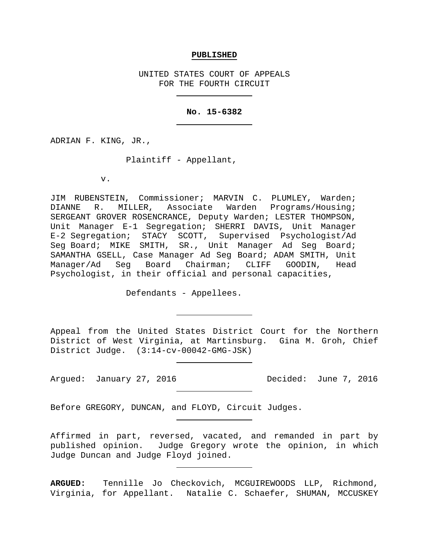#### **PUBLISHED**

UNITED STATES COURT OF APPEALS FOR THE FOURTH CIRCUIT

# **No. 15-6382**

ADRIAN F. KING, JR.,

Plaintiff - Appellant,

v.

JIM RUBENSTEIN, Commissioner; MARVIN C. PLUMLEY, Warden; DIANNE R. MILLER, Associate Warden Programs/Housing; SERGEANT GROVER ROSENCRANCE, Deputy Warden; LESTER THOMPSON, Unit Manager E-1 Segregation; SHERRI DAVIS, Unit Manager E-2 Segregation; STACY SCOTT, Supervised Psychologist/Ad Seg Board; MIKE SMITH, SR., Unit Manager Ad Seg Board; SAMANTHA GSELL, Case Manager Ad Seg Board; ADAM SMITH, Unit Manager/Ad Seg Board Chairman; CLIFF GOODIN, Head Psychologist, in their official and personal capacities,

Defendants - Appellees.

Appeal from the United States District Court for the Northern District of West Virginia, at Martinsburg. Gina M. Groh, Chief District Judge. (3:14-cv-00042-GMG-JSK)

Argued: January 27, 2016 Decided: June 7, 2016

Before GREGORY, DUNCAN, and FLOYD, Circuit Judges.

Affirmed in part, reversed, vacated, and remanded in part by published opinion. Judge Gregory wrote the opinion, in which Judge Duncan and Judge Floyd joined.

**ARGUED:** Tennille Jo Checkovich, MCGUIREWOODS LLP, Richmond, Virginia, for Appellant. Natalie C. Schaefer, SHUMAN, MCCUSKEY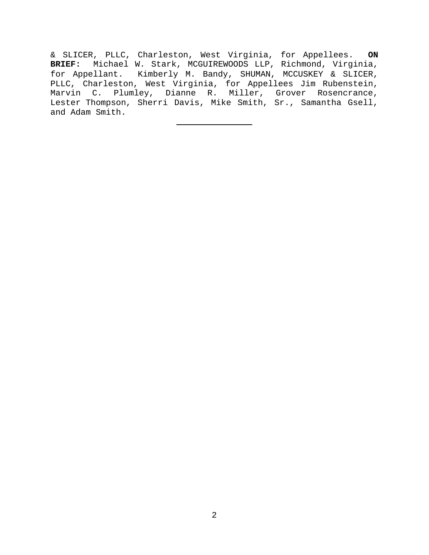& SLICER, PLLC, Charleston, West Virginia, for Appellees. **ON BRIEF:** Michael W. Stark, MCGUIREWOODS LLP, Richmond, Virginia, for Appellant. Kimberly M. Bandy, SHUMAN, MCCUSKEY & SLICER, PLLC, Charleston, West Virginia, for Appellees Jim Rubenstein, Marvin C. Plumley, Dianne R. Miller, Grover Rosencrance, Lester Thompson, Sherri Davis, Mike Smith, Sr., Samantha Gsell, and Adam Smith.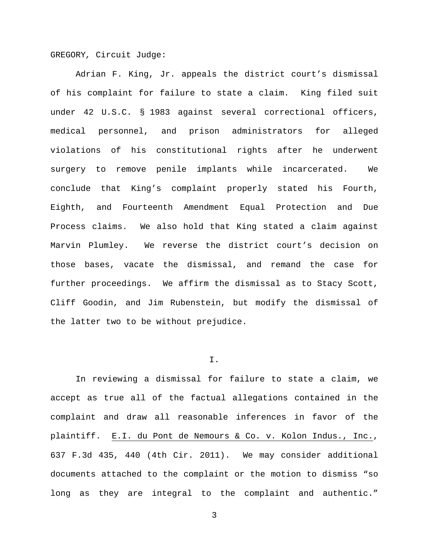GREGORY*,* Circuit Judge:

Adrian F. King, Jr. appeals the district court's dismissal of his complaint for failure to state a claim. King filed suit under 42 U.S.C. § 1983 against several correctional officers, medical personnel, and prison administrators for alleged violations of his constitutional rights after he underwent surgery to remove penile implants while incarcerated. We conclude that King's complaint properly stated his Fourth, Eighth, and Fourteenth Amendment Equal Protection and Due Process claims. We also hold that King stated a claim against Marvin Plumley. We reverse the district court's decision on those bases, vacate the dismissal, and remand the case for further proceedings. We affirm the dismissal as to Stacy Scott, Cliff Goodin, and Jim Rubenstein, but modify the dismissal of the latter two to be without prejudice.

### I.

In reviewing a dismissal for failure to state a claim, we accept as true all of the factual allegations contained in the complaint and draw all reasonable inferences in favor of the plaintiff. E.I. du Pont de Nemours & Co. v. Kolon Indus., Inc., 637 F.3d 435, 440 (4th Cir. 2011). We may consider additional documents attached to the complaint or the motion to dismiss "so long as they are integral to the complaint and authentic."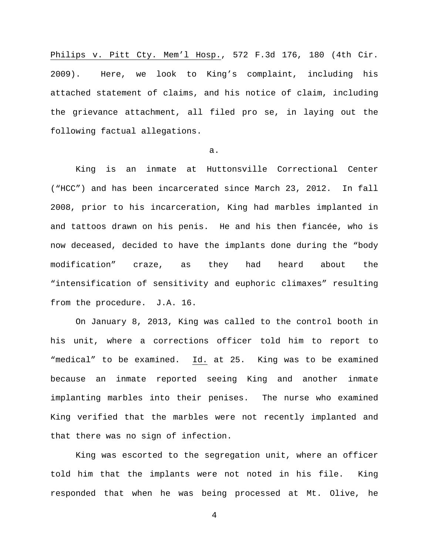Philips v. Pitt Cty. Mem'l Hosp., 572 F.3d 176, 180 (4th Cir. 2009). Here, we look to King's complaint, including his attached statement of claims, and his notice of claim, including the grievance attachment, all filed pro se, in laying out the following factual allegations.

a.

King is an inmate at Huttonsville Correctional Center ("HCC") and has been incarcerated since March 23, 2012. In fall 2008, prior to his incarceration, King had marbles implanted in and tattoos drawn on his penis. He and his then fiancée, who is now deceased, decided to have the implants done during the "body modification" craze, as they had heard about the "intensification of sensitivity and euphoric climaxes" resulting from the procedure. J.A. 16.

On January 8, 2013, King was called to the control booth in his unit, where a corrections officer told him to report to "medical" to be examined. Id. at 25. King was to be examined because an inmate reported seeing King and another inmate implanting marbles into their penises. The nurse who examined King verified that the marbles were not recently implanted and that there was no sign of infection.

King was escorted to the segregation unit, where an officer told him that the implants were not noted in his file. King responded that when he was being processed at Mt. Olive, he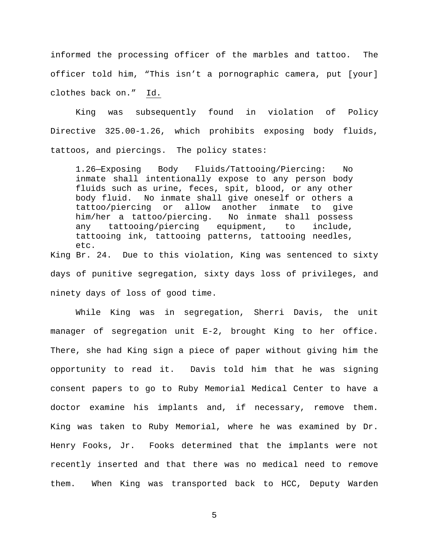informed the processing officer of the marbles and tattoo. The officer told him, "This isn't a pornographic camera, put [your] clothes back on." Id.

King was subsequently found in violation of Policy Directive 325.00-1.26, which prohibits exposing body fluids, tattoos, and piercings. The policy states:

1.26—Exposing Body Fluids/Tattooing/Piercing: No inmate shall intentionally expose to any person body fluids such as urine, feces, spit, blood, or any other body fluid. No inmate shall give oneself or others a tattoo/piercing or allow another inmate to give<br>him/her a tattoo/piercing. No inmate shall possess him/her a tattoo/piercing. No inmate shall possess<br>any tattooing/piercing equipment, to include, any tattooing/piercing equipment, tattooing ink, tattooing patterns, tattooing needles, etc. King Br. 24. Due to this violation, King was sentenced to sixty days of punitive segregation, sixty days loss of privileges, and

ninety days of loss of good time.

While King was in segregation, Sherri Davis, the unit manager of segregation unit E-2, brought King to her office. There, she had King sign a piece of paper without giving him the opportunity to read it. Davis told him that he was signing consent papers to go to Ruby Memorial Medical Center to have a doctor examine his implants and, if necessary, remove them. King was taken to Ruby Memorial, where he was examined by Dr. Henry Fooks, Jr. Fooks determined that the implants were not recently inserted and that there was no medical need to remove them. When King was transported back to HCC, Deputy Warden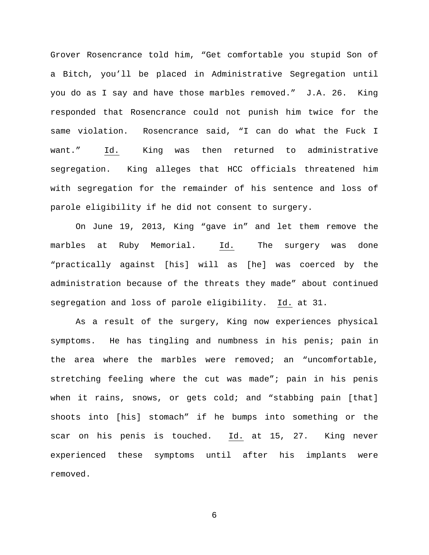Grover Rosencrance told him, "Get comfortable you stupid Son of a Bitch, you'll be placed in Administrative Segregation until you do as I say and have those marbles removed." J.A. 26. King responded that Rosencrance could not punish him twice for the same violation. Rosencrance said, "I can do what the Fuck I want." Id. King was then returned to administrative segregation. King alleges that HCC officials threatened him with segregation for the remainder of his sentence and loss of parole eligibility if he did not consent to surgery.

On June 19, 2013, King "gave in" and let them remove the marbles at Ruby Memorial. Id. The surgery was done "practically against [his] will as [he] was coerced by the administration because of the threats they made" about continued segregation and loss of parole eligibility. Id. at 31.

As a result of the surgery, King now experiences physical symptoms. He has tingling and numbness in his penis; pain in the area where the marbles were removed; an "uncomfortable, stretching feeling where the cut was made"; pain in his penis when it rains, snows, or gets cold; and "stabbing pain [that] shoots into [his] stomach" if he bumps into something or the scar on his penis is touched. Id. at 15, 27. King never experienced these symptoms until after his implants were removed.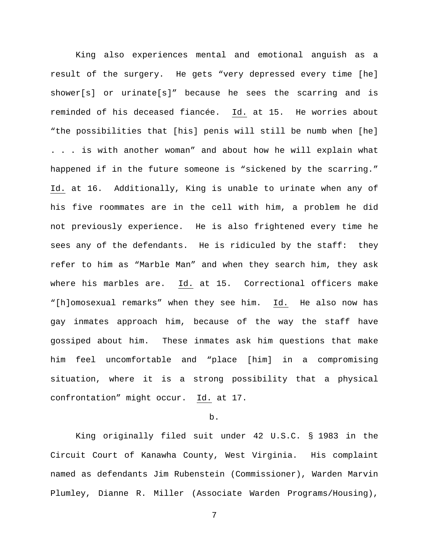King also experiences mental and emotional anguish as a result of the surgery. He gets "very depressed every time [he] shower[s] or urinate[s]" because he sees the scarring and is reminded of his deceased fiancée. Id. at 15. He worries about "the possibilities that [his] penis will still be numb when [he] . . . is with another woman" and about how he will explain what happened if in the future someone is "sickened by the scarring." Id. at 16. Additionally, King is unable to urinate when any of his five roommates are in the cell with him, a problem he did not previously experience. He is also frightened every time he sees any of the defendants. He is ridiculed by the staff: they refer to him as "Marble Man" and when they search him, they ask where his marbles are. Id. at 15. Correctional officers make "[h]omosexual remarks" when they see him. Id. He also now has gay inmates approach him, because of the way the staff have gossiped about him. These inmates ask him questions that make him feel uncomfortable and "place [him] in a compromising situation, where it is a strong possibility that a physical confrontation" might occur. Id. at 17.

#### b.

King originally filed suit under 42 U.S.C. § 1983 in the Circuit Court of Kanawha County, West Virginia. His complaint named as defendants Jim Rubenstein (Commissioner), Warden Marvin Plumley, Dianne R. Miller (Associate Warden Programs/Housing),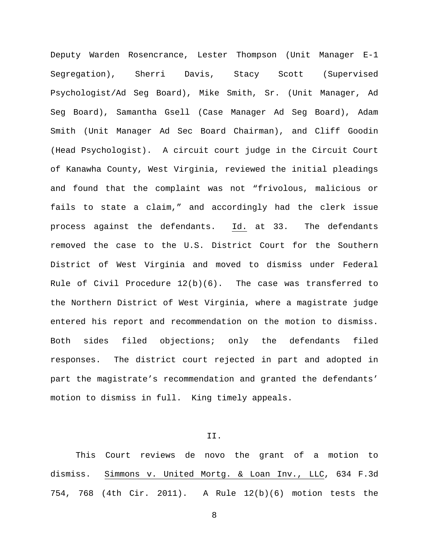Deputy Warden Rosencrance, Lester Thompson (Unit Manager E-1 Segregation), Sherri Davis, Stacy Scott (Supervised Psychologist/Ad Seg Board), Mike Smith, Sr. (Unit Manager, Ad Seg Board), Samantha Gsell (Case Manager Ad Seg Board), Adam Smith (Unit Manager Ad Sec Board Chairman), and Cliff Goodin (Head Psychologist). A circuit court judge in the Circuit Court of Kanawha County, West Virginia, reviewed the initial pleadings and found that the complaint was not "frivolous, malicious or fails to state a claim," and accordingly had the clerk issue process against the defendants. Id. at 33. The defendants removed the case to the U.S. District Court for the Southern District of West Virginia and moved to dismiss under Federal Rule of Civil Procedure  $12(b)(6)$ . The case was transferred to the Northern District of West Virginia, where a magistrate judge entered his report and recommendation on the motion to dismiss. Both sides filed objections; only the defendants filed responses. The district court rejected in part and adopted in part the magistrate's recommendation and granted the defendants' motion to dismiss in full. King timely appeals.

II.

This Court reviews de novo the grant of a motion to dismiss. Simmons v. United Mortg. & Loan Inv., LLC, 634 F.3d 754, 768 (4th Cir. 2011). A Rule 12(b)(6) motion tests the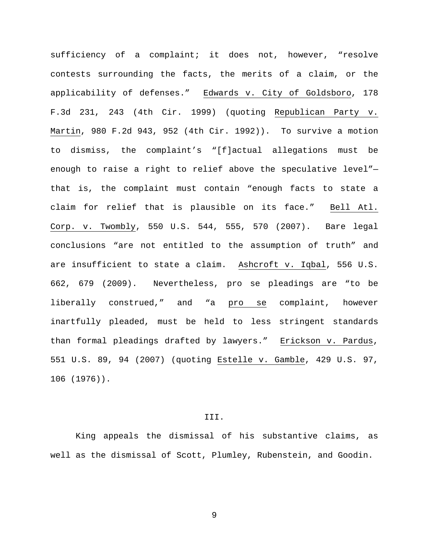sufficiency of a complaint; it does not, however, "resolve contests surrounding the facts, the merits of a claim, or the applicability of defenses." Edwards v. City of Goldsboro, 178 F.3d 231, 243 (4th Cir. 1999) (quoting Republican Party v. Martin, 980 F.2d 943, 952 (4th Cir. 1992)). To survive a motion to dismiss, the complaint's "[f]actual allegations must be enough to raise a right to relief above the speculative level" that is, the complaint must contain "enough facts to state a claim for relief that is plausible on its face." Bell Atl. Corp. v. Twombly, 550 U.S. 544, 555, 570 (2007). Bare legal conclusions "are not entitled to the assumption of truth" and are insufficient to state a claim. Ashcroft v. Iqbal, 556 U.S. 662, 679 (2009). Nevertheless, pro se pleadings are "to be liberally construed," and "a pro se complaint, however inartfully pleaded, must be held to less stringent standards than formal pleadings drafted by lawyers." Erickson v. Pardus, 551 U.S. 89, 94 (2007) (quoting Estelle v. Gamble, 429 U.S. 97, 106 (1976)).

#### III.

King appeals the dismissal of his substantive claims, as well as the dismissal of Scott, Plumley, Rubenstein, and Goodin.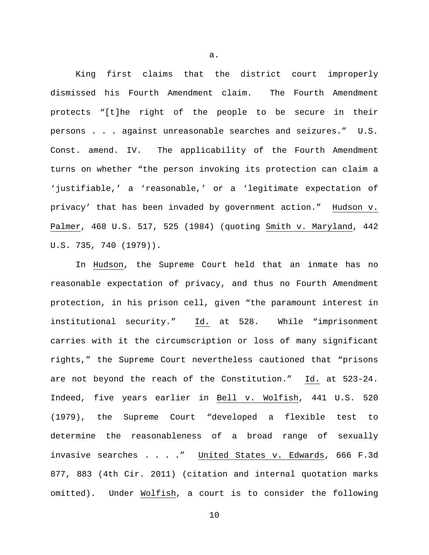King first claims that the district court improperly dismissed his Fourth Amendment claim. The Fourth Amendment protects "[t]he right of the people to be secure in their persons . . . against unreasonable searches and seizures." U.S. Const. amend. IV. The applicability of the Fourth Amendment turns on whether "the person invoking its protection can claim a 'justifiable,' a 'reasonable,' or a 'legitimate expectation of privacy' that has been invaded by government action." Hudson v. Palmer, 468 U.S. 517, 525 (1984) (quoting Smith v. Maryland, 442 U.S. 735, 740 (1979)).

In Hudson, the Supreme Court held that an inmate has no reasonable expectation of privacy, and thus no Fourth Amendment protection, in his prison cell, given "the paramount interest in institutional security." Id. at 528. While "imprisonment carries with it the circumscription or loss of many significant rights," the Supreme Court nevertheless cautioned that "prisons are not beyond the reach of the Constitution." Id. at 523-24. Indeed, five years earlier in Bell v. Wolfish, 441 U.S. 520 (1979), the Supreme Court "developed a flexible test to determine the reasonableness of a broad range of sexually invasive searches . . . ." United States v. Edwards, 666 F.3d 877, 883 (4th Cir. 2011) (citation and internal quotation marks omitted). Under Wolfish, a court is to consider the following

a.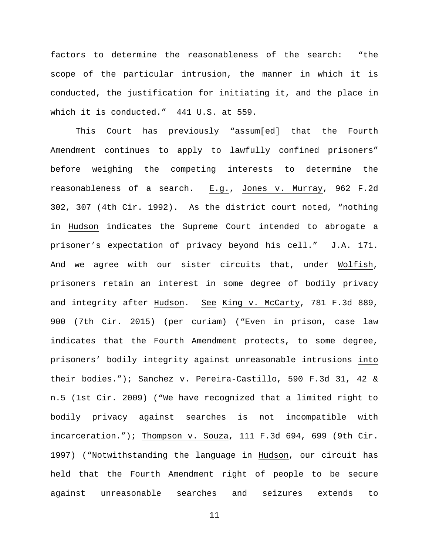factors to determine the reasonableness of the search: "the scope of the particular intrusion, the manner in which it is conducted, the justification for initiating it, and the place in which it is conducted." 441 U.S. at 559.

This Court has previously "assum[ed] that the Fourth Amendment continues to apply to lawfully confined prisoners" before weighing the competing interests to determine the reasonableness of a search. E.g., Jones v. Murray, 962 F.2d 302, 307 (4th Cir. 1992). As the district court noted, "nothing in Hudson indicates the Supreme Court intended to abrogate a prisoner's expectation of privacy beyond his cell." J.A. 171. And we agree with our sister circuits that, under Wolfish, prisoners retain an interest in some degree of bodily privacy and integrity after Hudson. See King v. McCarty, 781 F.3d 889, 900 (7th Cir. 2015) (per curiam) ("Even in prison, case law indicates that the Fourth Amendment protects, to some degree, prisoners' bodily integrity against unreasonable intrusions into their bodies."); Sanchez v. Pereira-Castillo, 590 F.3d 31, 42 & n.5 (1st Cir. 2009) ("We have recognized that a limited right to bodily privacy against searches is not incompatible with incarceration."); Thompson v. Souza, 111 F.3d 694, 699 (9th Cir. 1997) ("Notwithstanding the language in Hudson, our circuit has held that the Fourth Amendment right of people to be secure against unreasonable searches and seizures extends to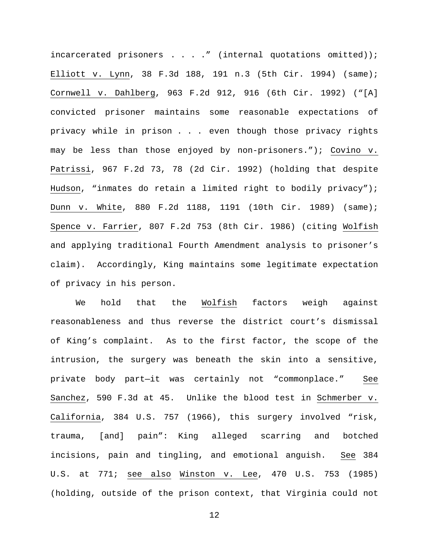incarcerated prisoners  $\ldots$  . . . " (internal quotations omitted)); Elliott v. Lynn, 38 F.3d 188, 191 n.3 (5th Cir. 1994) (same); Cornwell v. Dahlberg, 963 F.2d 912, 916 (6th Cir. 1992) ("[A] convicted prisoner maintains some reasonable expectations of privacy while in prison . . . even though those privacy rights may be less than those enjoyed by non-prisoners."); Covino v. Patrissi, 967 F.2d 73, 78 (2d Cir. 1992) (holding that despite Hudson, "inmates do retain a limited right to bodily privacy"); Dunn v. White, 880 F.2d 1188, 1191 (10th Cir. 1989) (same); Spence v. Farrier, 807 F.2d 753 (8th Cir. 1986) (citing Wolfish and applying traditional Fourth Amendment analysis to prisoner's claim). Accordingly, King maintains some legitimate expectation of privacy in his person.

We hold that the Wolfish factors weigh against reasonableness and thus reverse the district court's dismissal of King's complaint. As to the first factor, the scope of the intrusion, the surgery was beneath the skin into a sensitive, private body part—it was certainly not "commonplace." See Sanchez, 590 F.3d at 45. Unlike the blood test in Schmerber v. California, 384 U.S. 757 (1966), this surgery involved "risk, trauma, [and] pain": King alleged scarring and botched incisions, pain and tingling, and emotional anguish. See 384 U.S. at 771; see also Winston v. Lee, 470 U.S. 753 (1985) (holding, outside of the prison context, that Virginia could not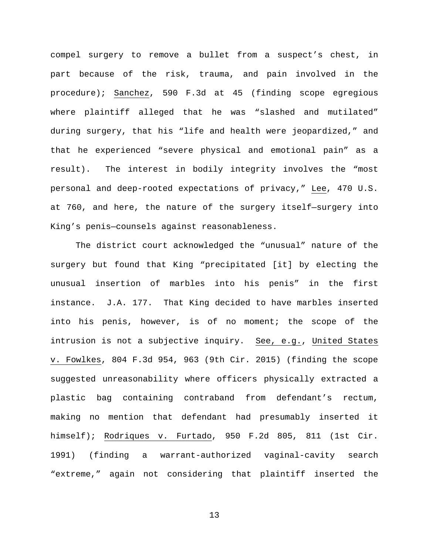compel surgery to remove a bullet from a suspect's chest, in part because of the risk, trauma, and pain involved in the procedure); Sanchez, 590 F.3d at 45 (finding scope egregious where plaintiff alleged that he was "slashed and mutilated" during surgery, that his "life and health were jeopardized," and that he experienced "severe physical and emotional pain" as a result). The interest in bodily integrity involves the "most personal and deep-rooted expectations of privacy," Lee, 470 U.S. at 760, and here, the nature of the surgery itself—surgery into King's penis—counsels against reasonableness.

The district court acknowledged the "unusual" nature of the surgery but found that King "precipitated [it] by electing the unusual insertion of marbles into his penis" in the first instance. J.A. 177. That King decided to have marbles inserted into his penis, however, is of no moment; the scope of the intrusion is not a subjective inquiry. See, e.g., United States v. Fowlkes, 804 F.3d 954, 963 (9th Cir. 2015) (finding the scope suggested unreasonability where officers physically extracted a plastic bag containing contraband from defendant's rectum, making no mention that defendant had presumably inserted it himself); Rodriques v. Furtado, 950 F.2d 805, 811 (1st Cir. 1991) (finding a warrant-authorized vaginal-cavity search "extreme," again not considering that plaintiff inserted the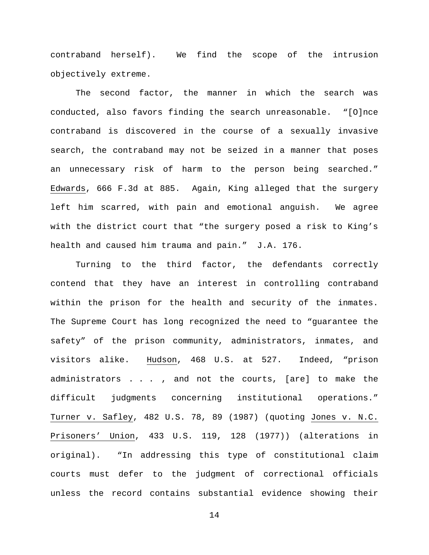contraband herself). We find the scope of the intrusion objectively extreme.

The second factor, the manner in which the search was conducted, also favors finding the search unreasonable. "[O]nce contraband is discovered in the course of a sexually invasive search, the contraband may not be seized in a manner that poses an unnecessary risk of harm to the person being searched." Edwards, 666 F.3d at 885. Again, King alleged that the surgery left him scarred, with pain and emotional anguish. We agree with the district court that "the surgery posed a risk to King's health and caused him trauma and pain." J.A. 176.

Turning to the third factor, the defendants correctly contend that they have an interest in controlling contraband within the prison for the health and security of the inmates. The Supreme Court has long recognized the need to "guarantee the safety" of the prison community, administrators, inmates, and visitors alike. Hudson, 468 U.S. at 527. Indeed, "prison administrators . . . , and not the courts, [are] to make the difficult judgments concerning institutional operations." Turner v. Safley, 482 U.S. 78, 89 (1987) (quoting Jones v. N.C. Prisoners' Union, 433 U.S. 119, 128 (1977)) (alterations in original). "In addressing this type of constitutional claim courts must defer to the judgment of correctional officials unless the record contains substantial evidence showing their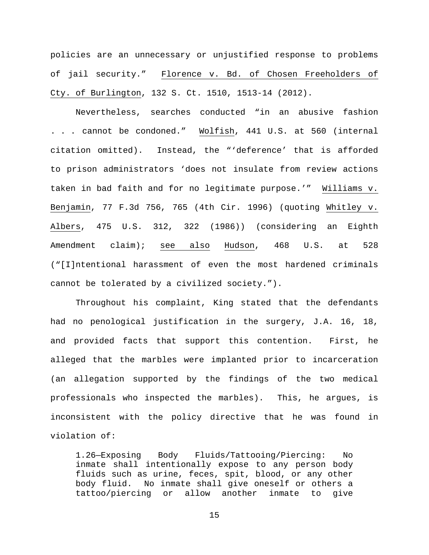policies are an unnecessary or unjustified response to problems of jail security." Florence v. Bd. of Chosen Freeholders of Cty. of Burlington, 132 S. Ct. 1510, 1513-14 (2012).

Nevertheless, searches conducted "in an abusive fashion . . . cannot be condoned." Wolfish, 441 U.S. at 560 (internal citation omitted). Instead, the "'deference' that is afforded to prison administrators 'does not insulate from review actions taken in bad faith and for no legitimate purpose.'" Williams v. Benjamin, 77 F.3d 756, 765 (4th Cir. 1996) (quoting Whitley v. Albers, 475 U.S. 312, 322 (1986)) (considering an Eighth Amendment claim); see also Hudson, 468 U.S. at 528 ("[I]ntentional harassment of even the most hardened criminals cannot be tolerated by a civilized society.").

Throughout his complaint, King stated that the defendants had no penological justification in the surgery, J.A. 16, 18, and provided facts that support this contention. First, he alleged that the marbles were implanted prior to incarceration (an allegation supported by the findings of the two medical professionals who inspected the marbles). This, he argues, is inconsistent with the policy directive that he was found in violation of:

1.26—Exposing Body Fluids/Tattooing/Piercing: No inmate shall intentionally expose to any person body fluids such as urine, feces, spit, blood, or any other body fluid. No inmate shall give oneself or others a tattoo/piercing or allow another inmate to give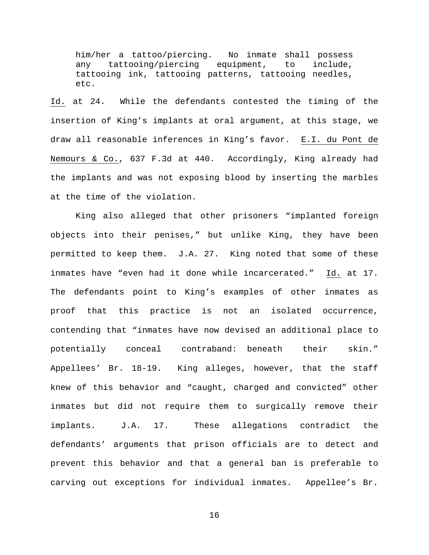him/her a tattoo/piercing. No inmate shall possess<br>any tattooing/piercing equipment, to include, any tattooing/piercing equipment, tattooing ink, tattooing patterns, tattooing needles, etc.

Id. at 24. While the defendants contested the timing of the insertion of King's implants at oral argument, at this stage, we draw all reasonable inferences in King's favor. E.I. du Pont de Nemours & Co., 637 F.3d at 440. Accordingly, King already had the implants and was not exposing blood by inserting the marbles at the time of the violation.

King also alleged that other prisoners "implanted foreign objects into their penises," but unlike King, they have been permitted to keep them. J.A. 27. King noted that some of these inmates have "even had it done while incarcerated." Id. at 17. The defendants point to King's examples of other inmates as proof that this practice is not an isolated occurrence, contending that "inmates have now devised an additional place to potentially conceal contraband: beneath their skin." Appellees' Br. 18-19. King alleges, however, that the staff knew of this behavior and "caught, charged and convicted" other inmates but did not require them to surgically remove their implants. J.A. 17. These allegations contradict the defendants' arguments that prison officials are to detect and prevent this behavior and that a general ban is preferable to carving out exceptions for individual inmates. Appellee's Br.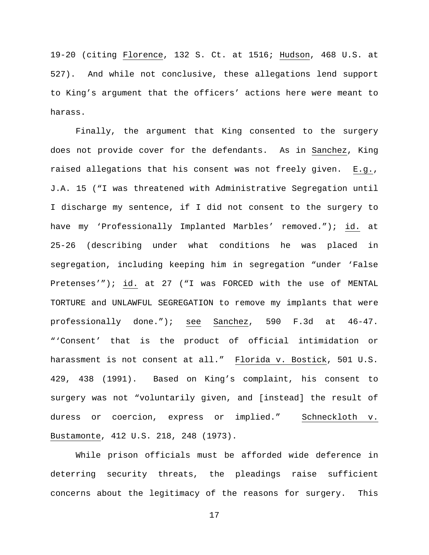19-20 (citing Florence, 132 S. Ct. at 1516; Hudson, 468 U.S. at 527). And while not conclusive, these allegations lend support to King's argument that the officers' actions here were meant to harass.

Finally, the argument that King consented to the surgery does not provide cover for the defendants. As in Sanchez, King raised allegations that his consent was not freely given. E.g., J.A. 15 ("I was threatened with Administrative Segregation until I discharge my sentence, if I did not consent to the surgery to have my 'Professionally Implanted Marbles' removed."); id. at 25-26 (describing under what conditions he was placed in segregation, including keeping him in segregation "under 'False Pretenses'"); id. at 27 ("I was FORCED with the use of MENTAL TORTURE and UNLAWFUL SEGREGATION to remove my implants that were professionally done."); see Sanchez, 590 F.3d at 46-47. "'Consent' that is the product of official intimidation or harassment is not consent at all." Florida v. Bostick, 501 U.S. 429, 438 (1991). Based on King's complaint, his consent to surgery was not "voluntarily given, and [instead] the result of duress or coercion, express or implied." Schneckloth v. Bustamonte, 412 U.S. 218, 248 (1973).

While prison officials must be afforded wide deference in deterring security threats, the pleadings raise sufficient concerns about the legitimacy of the reasons for surgery. This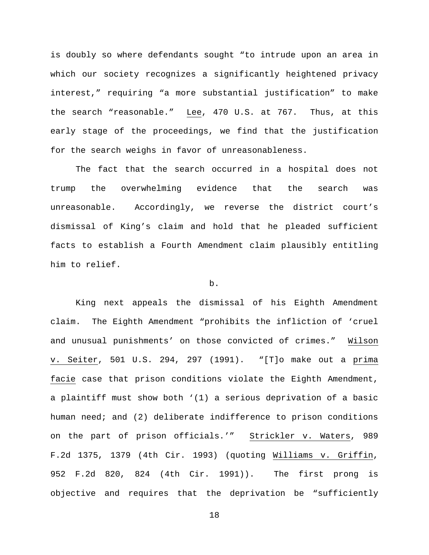is doubly so where defendants sought "to intrude upon an area in which our society recognizes a significantly heightened privacy interest," requiring "a more substantial justification" to make the search "reasonable." Lee, 470 U.S. at 767. Thus, at this early stage of the proceedings, we find that the justification for the search weighs in favor of unreasonableness.

The fact that the search occurred in a hospital does not trump the overwhelming evidence that the search was unreasonable. Accordingly, we reverse the district court's dismissal of King's claim and hold that he pleaded sufficient facts to establish a Fourth Amendment claim plausibly entitling him to relief.

# b.

King next appeals the dismissal of his Eighth Amendment claim. The Eighth Amendment "prohibits the infliction of 'cruel and unusual punishments' on those convicted of crimes." Wilson v. Seiter, 501 U.S. 294, 297 (1991). "[T]o make out a prima facie case that prison conditions violate the Eighth Amendment, a plaintiff must show both '(1) a serious deprivation of a basic human need; and (2) deliberate indifference to prison conditions on the part of prison officials.'" Strickler v. Waters, 989 F.2d 1375, 1379 (4th Cir. 1993) (quoting Williams v. Griffin, 952 F.2d 820, 824 (4th Cir. 1991)). The first prong is objective and requires that the deprivation be "sufficiently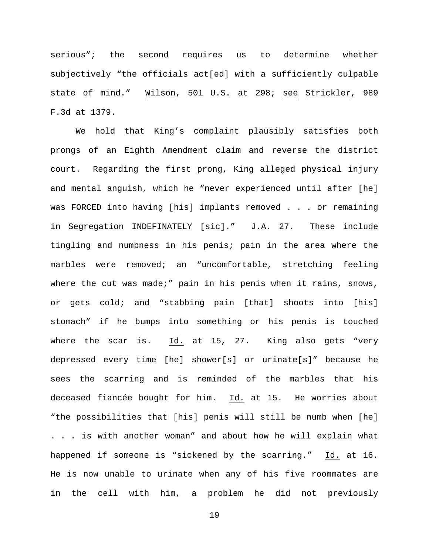serious"; the second requires us to determine whether subjectively "the officials act[ed] with a sufficiently culpable state of mind." Wilson, 501 U.S. at 298; see Strickler, 989 F.3d at 1379.

We hold that King's complaint plausibly satisfies both prongs of an Eighth Amendment claim and reverse the district court. Regarding the first prong, King alleged physical injury and mental anguish, which he "never experienced until after [he] was FORCED into having [his] implants removed . . . or remaining in Segregation INDEFINATELY [sic]." J.A. 27. These include tingling and numbness in his penis; pain in the area where the marbles were removed; an "uncomfortable, stretching feeling where the cut was made;" pain in his penis when it rains, snows, or gets cold; and "stabbing pain [that] shoots into [his] stomach" if he bumps into something or his penis is touched where the scar is. Id. at 15, 27. King also gets "very depressed every time [he] shower[s] or urinate[s]" because he sees the scarring and is reminded of the marbles that his deceased fiancée bought for him. Id. at 15. He worries about "the possibilities that [his] penis will still be numb when [he] . . . is with another woman" and about how he will explain what happened if someone is "sickened by the scarring." Id. at 16. He is now unable to urinate when any of his five roommates are in the cell with him, a problem he did not previously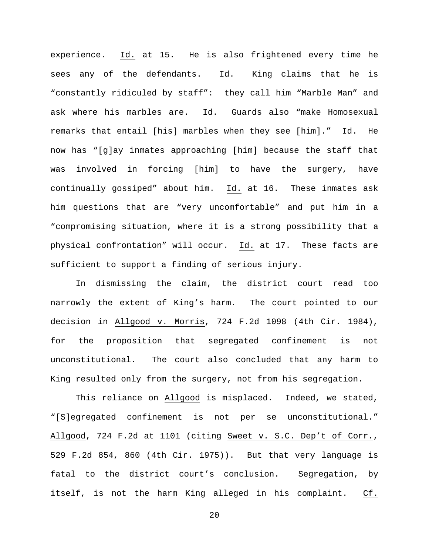experience. Id. at 15. He is also frightened every time he sees any of the defendants. Id. King claims that he is "constantly ridiculed by staff": they call him "Marble Man" and ask where his marbles are. Id. Guards also "make Homosexual remarks that entail [his] marbles when they see [him]." Id. He now has "[g]ay inmates approaching [him] because the staff that was involved in forcing [him] to have the surgery, have continually gossiped" about him. Id. at 16. These inmates ask him questions that are "very uncomfortable" and put him in a "compromising situation, where it is a strong possibility that a physical confrontation" will occur. Id. at 17. These facts are sufficient to support a finding of serious injury.

In dismissing the claim, the district court read too narrowly the extent of King's harm. The court pointed to our decision in Allgood v. Morris, 724 F.2d 1098 (4th Cir. 1984), for the proposition that segregated confinement is not unconstitutional. The court also concluded that any harm to King resulted only from the surgery, not from his segregation.

This reliance on Allgood is misplaced. Indeed, we stated, "[S]egregated confinement is not per se unconstitutional." Allgood, 724 F.2d at 1101 (citing Sweet v. S.C. Dep't of Corr., 529 F.2d 854, 860 (4th Cir. 1975)). But that very language is fatal to the district court's conclusion. Segregation, by itself, is not the harm King alleged in his complaint. Cf.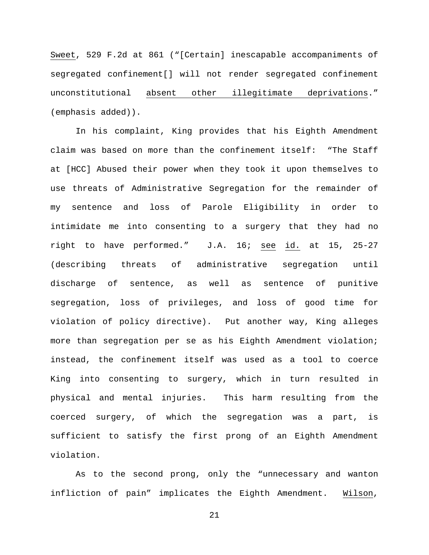Sweet, 529 F.2d at 861 ("[Certain] inescapable accompaniments of segregated confinement[] will not render segregated confinement unconstitutional absent other illegitimate deprivations." (emphasis added)).

In his complaint, King provides that his Eighth Amendment claim was based on more than the confinement itself: "The Staff at [HCC] Abused their power when they took it upon themselves to use threats of Administrative Segregation for the remainder of my sentence and loss of Parole Eligibility in order to intimidate me into consenting to a surgery that they had no right to have performed." J.A. 16; see id. at 15, 25-27 (describing threats of administrative segregation until discharge of sentence, as well as sentence of punitive segregation, loss of privileges, and loss of good time for violation of policy directive). Put another way, King alleges more than segregation per se as his Eighth Amendment violation; instead, the confinement itself was used as a tool to coerce King into consenting to surgery, which in turn resulted in physical and mental injuries. This harm resulting from the coerced surgery, of which the segregation was a part, is sufficient to satisfy the first prong of an Eighth Amendment violation.

As to the second prong, only the "unnecessary and wanton infliction of pain" implicates the Eighth Amendment. Wilson,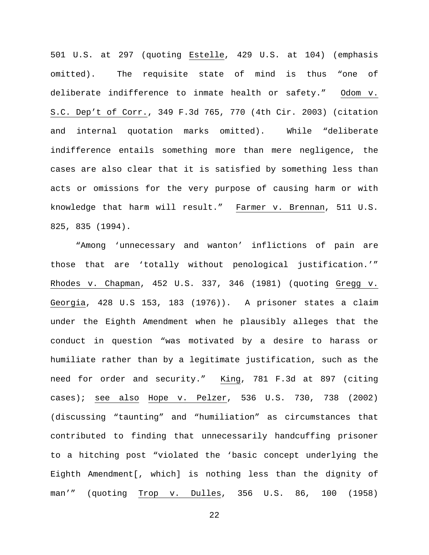501 U.S. at 297 (quoting Estelle, 429 U.S. at 104) (emphasis omitted). The requisite state of mind is thus "one of deliberate indifference to inmate health or safety." Odom v. S.C. Dep't of Corr., 349 F.3d 765, 770 (4th Cir. 2003) (citation and internal quotation marks omitted). While "deliberate indifference entails something more than mere negligence, the cases are also clear that it is satisfied by something less than acts or omissions for the very purpose of causing harm or with knowledge that harm will result." Farmer v. Brennan, 511 U.S. 825, 835 (1994).

"Among 'unnecessary and wanton' inflictions of pain are those that are 'totally without penological justification.'" Rhodes v. Chapman, 452 U.S. 337, 346 (1981) (quoting Gregg v. Georgia, 428 U.S 153, 183 (1976)). A prisoner states a claim under the Eighth Amendment when he plausibly alleges that the conduct in question "was motivated by a desire to harass or humiliate rather than by a legitimate justification, such as the need for order and security." King, 781 F.3d at 897 (citing cases); see also Hope v. Pelzer, 536 U.S. 730, 738 (2002) (discussing "taunting" and "humiliation" as circumstances that contributed to finding that unnecessarily handcuffing prisoner to a hitching post "violated the 'basic concept underlying the Eighth Amendment[, which] is nothing less than the dignity of man'" (quoting Trop v. Dulles, 356 U.S. 86, 100 (1958)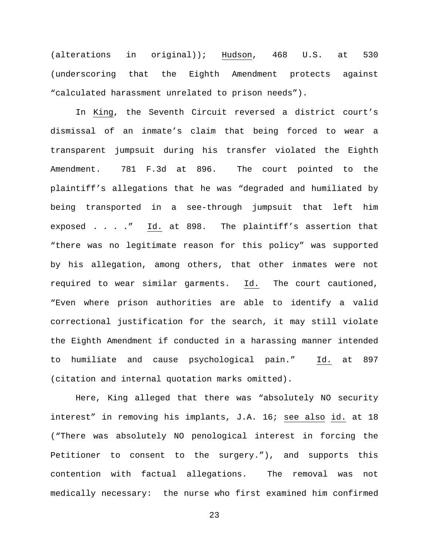(alterations in original)); Hudson, 468 U.S. at 530 (underscoring that the Eighth Amendment protects against "calculated harassment unrelated to prison needs").

In King, the Seventh Circuit reversed a district court's dismissal of an inmate's claim that being forced to wear a transparent jumpsuit during his transfer violated the Eighth Amendment. 781 F.3d at 896. The court pointed to the plaintiff's allegations that he was "degraded and humiliated by being transported in a see-through jumpsuit that left him exposed . . . ." Id. at 898. The plaintiff's assertion that "there was no legitimate reason for this policy" was supported by his allegation, among others, that other inmates were not required to wear similar garments. Id. The court cautioned, "Even where prison authorities are able to identify a valid correctional justification for the search, it may still violate the Eighth Amendment if conducted in a harassing manner intended to humiliate and cause psychological pain." Id. at 897 (citation and internal quotation marks omitted).

Here, King alleged that there was "absolutely NO security interest" in removing his implants, J.A. 16; see also id. at 18 ("There was absolutely NO penological interest in forcing the Petitioner to consent to the surgery."), and supports this contention with factual allegations. The removal was not medically necessary: the nurse who first examined him confirmed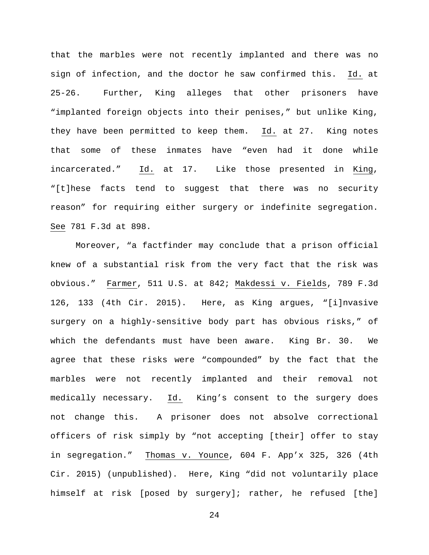that the marbles were not recently implanted and there was no sign of infection, and the doctor he saw confirmed this. Id. at 25-26. Further, King alleges that other prisoners have "implanted foreign objects into their penises," but unlike King, they have been permitted to keep them. Id. at 27. King notes that some of these inmates have "even had it done while incarcerated." Id. at 17. Like those presented in King, "[t]hese facts tend to suggest that there was no security reason" for requiring either surgery or indefinite segregation. See 781 F.3d at 898.

Moreover, "a factfinder may conclude that a prison official knew of a substantial risk from the very fact that the risk was obvious." Farmer, 511 U.S. at 842; Makdessi v. Fields, 789 F.3d 126, 133 (4th Cir. 2015). Here, as King argues, "[i]nvasive surgery on a highly-sensitive body part has obvious risks," of which the defendants must have been aware. King Br. 30. We agree that these risks were "compounded" by the fact that the marbles were not recently implanted and their removal not medically necessary. Id. King's consent to the surgery does not change this. A prisoner does not absolve correctional officers of risk simply by "not accepting [their] offer to stay in segregation." Thomas v. Younce, 604 F. App'x 325, 326 (4th Cir. 2015) (unpublished). Here, King "did not voluntarily place himself at risk [posed by surgery]; rather, he refused [the]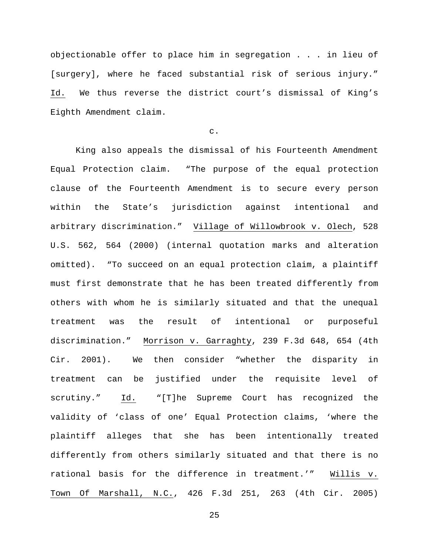objectionable offer to place him in segregation . . . in lieu of [surgery], where he faced substantial risk of serious injury." Id. We thus reverse the district court's dismissal of King's Eighth Amendment claim.

c.

King also appeals the dismissal of his Fourteenth Amendment Equal Protection claim. "The purpose of the equal protection clause of the Fourteenth Amendment is to secure every person within the State's jurisdiction against intentional and arbitrary discrimination." Village of Willowbrook v. Olech, 528 U.S. 562, 564 (2000) (internal quotation marks and alteration omitted). "To succeed on an equal protection claim, a plaintiff must first demonstrate that he has been treated differently from others with whom he is similarly situated and that the unequal treatment was the result of intentional or purposeful discrimination." Morrison v. Garraghty, 239 F.3d 648, 654 (4th Cir. 2001). We then consider "whether the disparity in treatment can be justified under the requisite level of scrutiny." Id. "[T]he Supreme Court has recognized the validity of 'class of one' Equal Protection claims, 'where the plaintiff alleges that she has been intentionally treated differently from others similarly situated and that there is no rational basis for the difference in treatment.'" Willis v. Town Of Marshall, N.C., 426 F.3d 251, 263 (4th Cir. 2005)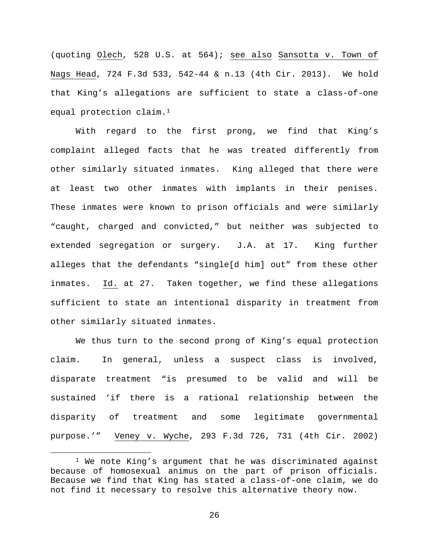(quoting Olech, 528 U.S. at 564); see also Sansotta v. Town of Nags Head, 724 F.3d 533, 542-44 & n.13 (4th Cir. 2013). We hold that King's allegations are sufficient to state a class-of-one equal protection claim.<sup>[1](#page-25-0)</sup>

With regard to the first prong, we find that King's complaint alleged facts that he was treated differently from other similarly situated inmates. King alleged that there were at least two other inmates with implants in their penises. These inmates were known to prison officials and were similarly "caught, charged and convicted," but neither was subjected to extended segregation or surgery. J.A. at 17. King further alleges that the defendants "single[d him] out" from these other inmates. Id. at 27. Taken together, we find these allegations sufficient to state an intentional disparity in treatment from other similarly situated inmates.

We thus turn to the second prong of King's equal protection claim. In general, unless a suspect class is involved, disparate treatment "is presumed to be valid and will be sustained 'if there is a rational relationship between the disparity of treatment and some legitimate governmental purpose.'" Veney v. Wyche, 293 F.3d 726, 731 (4th Cir. 2002)

<span id="page-25-0"></span> <sup>1</sup> We note King's argument that he was discriminated against because of homosexual animus on the part of prison officials. Because we find that King has stated a class-of-one claim, we do not find it necessary to resolve this alternative theory now.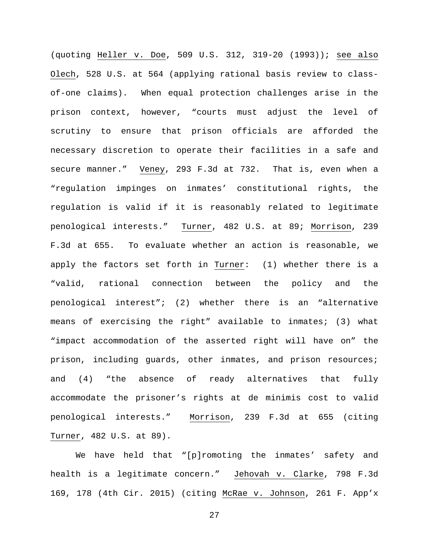(quoting Heller v. Doe, 509 U.S. 312, 319-20 (1993)); see also Olech, 528 U.S. at 564 (applying rational basis review to classof-one claims). When equal protection challenges arise in the prison context, however, "courts must adjust the level of scrutiny to ensure that prison officials are afforded the necessary discretion to operate their facilities in a safe and secure manner." Veney, 293 F.3d at 732. That is, even when a "regulation impinges on inmates' constitutional rights, the regulation is valid if it is reasonably related to legitimate penological interests." Turner, 482 U.S. at 89; Morrison, 239 F.3d at 655. To evaluate whether an action is reasonable, we apply the factors set forth in Turner: (1) whether there is a "valid, rational connection between the policy and the penological interest"; (2) whether there is an "alternative means of exercising the right" available to inmates; (3) what "impact accommodation of the asserted right will have on" the prison, including guards, other inmates, and prison resources; and (4) "the absence of ready alternatives that fully accommodate the prisoner's rights at de minimis cost to valid penological interests." Morrison, 239 F.3d at 655 (citing Turner, 482 U.S. at 89).

We have held that "[p]romoting the inmates' safety and health is a legitimate concern." Jehovah v. Clarke, 798 F.3d 169, 178 (4th Cir. 2015) (citing McRae v. Johnson, 261 F. App'x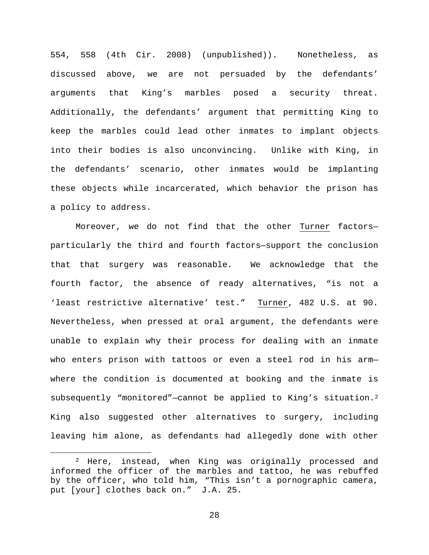554, 558 (4th Cir. 2008) (unpublished)). Nonetheless, as discussed above, we are not persuaded by the defendants' arguments that King's marbles posed a security threat. Additionally, the defendants' argument that permitting King to keep the marbles could lead other inmates to implant objects into their bodies is also unconvincing. Unlike with King, in the defendants' scenario, other inmates would be implanting these objects while incarcerated, which behavior the prison has a policy to address.

Moreover, we do not find that the other Turner factors particularly the third and fourth factors—support the conclusion that that surgery was reasonable. We acknowledge that the fourth factor, the absence of ready alternatives, "is not a 'least restrictive alternative' test." Turner, 482 U.S. at 90. Nevertheless, when pressed at oral argument, the defendants were unable to explain why their process for dealing with an inmate who enters prison with tattoos or even a steel rod in his arm where the condition is documented at booking and the inmate is subsequently "monitored"-cannot be applied to King's situation.<sup>[2](#page-27-0)</sup> King also suggested other alternatives to surgery, including leaving him alone, as defendants had allegedly done with other

<span id="page-27-0"></span> <sup>2</sup> Here, instead, when King was originally processed and informed the officer of the marbles and tattoo, he was rebuffed by the officer, who told him, "This isn't a pornographic camera, put [your] clothes back on." J.A. 25.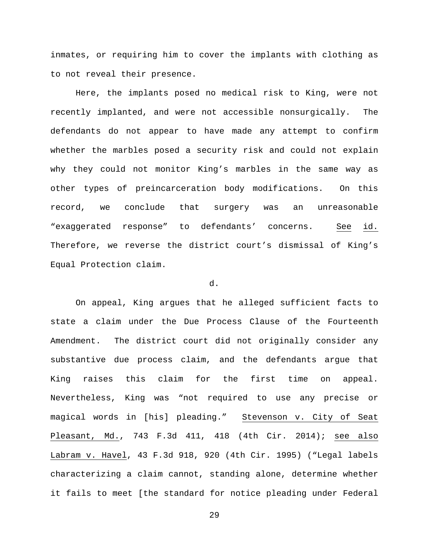inmates, or requiring him to cover the implants with clothing as to not reveal their presence.

Here, the implants posed no medical risk to King, were not recently implanted, and were not accessible nonsurgically. The defendants do not appear to have made any attempt to confirm whether the marbles posed a security risk and could not explain why they could not monitor King's marbles in the same way as other types of preincarceration body modifications. On this record, we conclude that surgery was an unreasonable "exaggerated response" to defendants' concerns. See id. Therefore, we reverse the district court's dismissal of King's Equal Protection claim.

## d.

On appeal, King argues that he alleged sufficient facts to state a claim under the Due Process Clause of the Fourteenth Amendment. The district court did not originally consider any substantive due process claim, and the defendants argue that King raises this claim for the first time on appeal. Nevertheless, King was "not required to use any precise or magical words in [his] pleading." Stevenson v. City of Seat Pleasant, Md., 743 F.3d 411, 418 (4th Cir. 2014); see also Labram v. Havel, 43 F.3d 918, 920 (4th Cir. 1995) ("Legal labels characterizing a claim cannot, standing alone, determine whether it fails to meet [the standard for notice pleading under Federal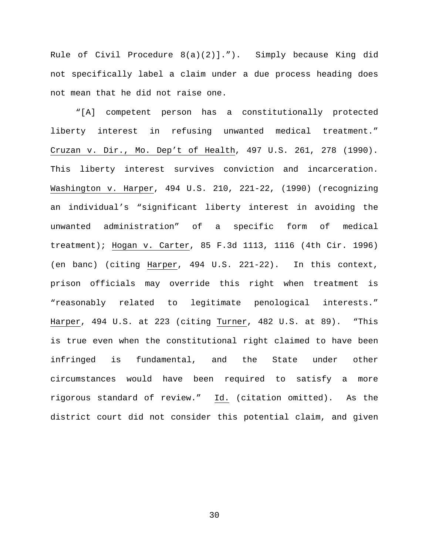Rule of Civil Procedure 8(a)(2)]."). Simply because King did not specifically label a claim under a due process heading does not mean that he did not raise one.

"[A] competent person has a constitutionally protected liberty interest in refusing unwanted medical treatment." Cruzan v. Dir., Mo. Dep't of Health, 497 U.S. 261, 278 (1990). This liberty interest survives conviction and incarceration. Washington v. Harper, 494 U.S. 210, 221-22, (1990) (recognizing an individual's "significant liberty interest in avoiding the unwanted administration" of a specific form of medical treatment); Hogan v. Carter, 85 F.3d 1113, 1116 (4th Cir. 1996) (en banc) (citing Harper, 494 U.S. 221-22). In this context, prison officials may override this right when treatment is "reasonably related to legitimate penological interests." Harper, 494 U.S. at 223 (citing Turner, 482 U.S. at 89). "This is true even when the constitutional right claimed to have been infringed is fundamental, and the State under other circumstances would have been required to satisfy a more rigorous standard of review." Id. (citation omitted). As the district court did not consider this potential claim, and given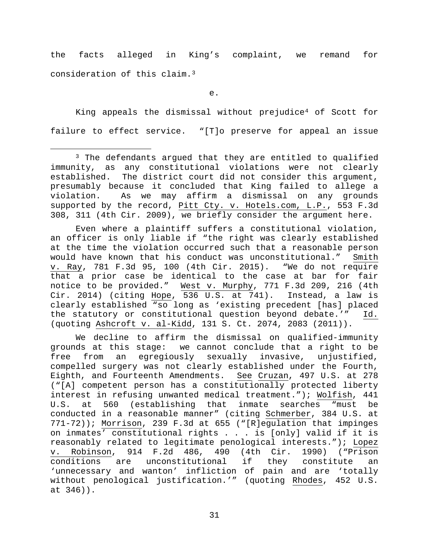the facts alleged in King's complaint, we remand for consideration of this claim.[3](#page-30-0)

e.

King appeals the dismissal without prejudic[e4](#page-30-1) of Scott for failure to effect service. "[T]o preserve for appeal an issue

Even where a plaintiff suffers a constitutional violation, an officer is only liable if "the right was clearly established at the time the violation occurred such that a reasonable person would have known that his conduct was unconstitutional." Smith v. Ray, 781 F.3d 95, 100 (4th Cir. 2015). "We do not require that a prior case be identical to the case at bar for fair notice to be provided." West v. Murphy, 771 F.3d 209, 216 (4th Cir. 2014) (citing Hope, 536 U.S. at 741). Instead, a law is clearly established "so long as 'existing precedent [has] placed<br>the statutory or constitutional question beyond debate.'" Id. the statutory or constitutional question beyond debate.'" (quoting Ashcroft v. al-Kidd, 131 S. Ct. 2074, 2083 (2011)).

<span id="page-30-1"></span>We decline to affirm the dismissal on qualified-immunity grounds at this stage: we cannot conclude that a right to be free from an egregiously sexually invasive, unjustified, compelled surgery was not clearly established under the Fourth, Eighth, and Fourteenth Amendments. See Cruzan, 497 U.S. at 278 ("[A] competent person has a constitutionally protected liberty interest in refusing unwanted medical treatment."); Wolfish, 441<br>U.S. at 560 (establishing that inmate searches "must be at 560 (establishing that inmate searches conducted in a reasonable manner" (citing Schmerber, 384 U.S. at 771-72)); Morrison, 239 F.3d at 655 ("[R]egulation that impinges on inmates' constitutional rights . . . is [only] valid if it is reasonably related to legitimate penological interests."); Lopez<br>v. Robinson, 914 F.2d 486, 490 (4th Cir. 1990) ("Prison v. Robinson, 914 F.2d 486, 490 (4th Cir. 1990) ("Prison<br>conditions are unconstitutional if they constitute an unconstitutional if they constitute an 'unnecessary and wanton' infliction of pain and are 'totally without penological justification.'" (quoting Rhodes, 452 U.S. at 346)).

<span id="page-30-0"></span><sup>&</sup>lt;sup>3</sup> The defendants argued that they are entitled to qualified immunity, as any constitutional violations were not clearly established. The district court did not consider this argument, presumably because it concluded that King failed to allege a As we may affirm a dismissal on any grounds supported by the record, Pitt Cty. v. Hotels.com, L.P., 553 F.3d 308, 311 (4th Cir. 2009), we briefly consider the argument here.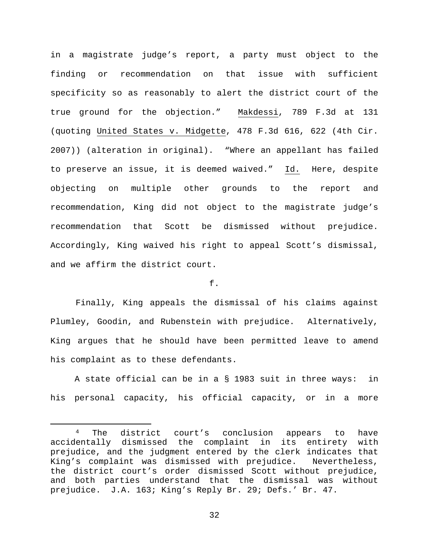in a magistrate judge's report, a party must object to the finding or recommendation on that issue with sufficient specificity so as reasonably to alert the district court of the true ground for the objection." Makdessi, 789 F.3d at 131 (quoting United States v. Midgette, 478 F.3d 616, 622 (4th Cir. 2007)) (alteration in original). "Where an appellant has failed to preserve an issue, it is deemed waived." Id. Here, despite objecting on multiple other grounds to the report and recommendation, King did not object to the magistrate judge's recommendation that Scott be dismissed without prejudice. Accordingly, King waived his right to appeal Scott's dismissal, and we affirm the district court.

# f.

Finally, King appeals the dismissal of his claims against Plumley, Goodin, and Rubenstein with prejudice. Alternatively, King argues that he should have been permitted leave to amend his complaint as to these defendants.

A state official can be in a § 1983 suit in three ways: in his personal capacity, his official capacity, or in a more

 <sup>4</sup> The district court's conclusion appears to have accidentally dismissed the complaint in its entirety with prejudice, and the judgment entered by the clerk indicates that<br>King's complaint was dismissed with prejudice. Nevertheless, King's complaint was dismissed with prejudice. the district court's order dismissed Scott without prejudice, and both parties understand that the dismissal was without prejudice. J.A. 163; King's Reply Br. 29; Defs.' Br. 47.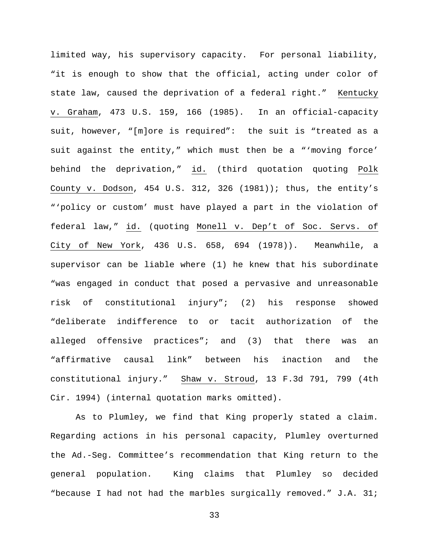limited way, his supervisory capacity. For personal liability, "it is enough to show that the official, acting under color of state law, caused the deprivation of a federal right." Kentucky v. Graham, 473 U.S. 159, 166 (1985). In an official-capacity suit, however, "[m]ore is required": the suit is "treated as a suit against the entity," which must then be a "'moving force' behind the deprivation," id. (third quotation quoting Polk County v. Dodson, 454 U.S. 312, 326 (1981)); thus, the entity's "'policy or custom' must have played a part in the violation of federal law," id. (quoting Monell v. Dep't of Soc. Servs. of City of New York, 436 U.S. 658, 694 (1978)). Meanwhile, a supervisor can be liable where (1) he knew that his subordinate "was engaged in conduct that posed a pervasive and unreasonable risk of constitutional injury"; (2) his response showed "deliberate indifference to or tacit authorization of the alleged offensive practices"; and (3) that there was an "affirmative causal link" between his inaction and the constitutional injury." Shaw v. Stroud, 13 F.3d 791, 799 (4th Cir. 1994) (internal quotation marks omitted).

As to Plumley, we find that King properly stated a claim. Regarding actions in his personal capacity, Plumley overturned the Ad.-Seg. Committee's recommendation that King return to the general population. King claims that Plumley so decided "because I had not had the marbles surgically removed." J.A. 31;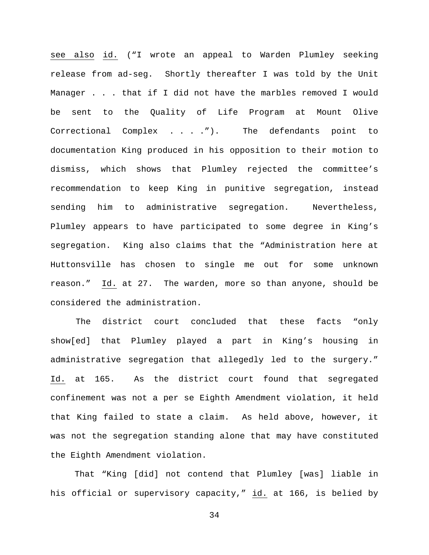see also id. ("I wrote an appeal to Warden Plumley seeking release from ad-seg. Shortly thereafter I was told by the Unit Manager . . . that if I did not have the marbles removed I would be sent to the Quality of Life Program at Mount Olive Correctional Complex . . . ."). The defendants point to documentation King produced in his opposition to their motion to dismiss, which shows that Plumley rejected the committee's recommendation to keep King in punitive segregation, instead sending him to administrative segregation. Nevertheless, Plumley appears to have participated to some degree in King's segregation. King also claims that the "Administration here at Huttonsville has chosen to single me out for some unknown reason." Id. at 27. The warden, more so than anyone, should be considered the administration.

The district court concluded that these facts "only show[ed] that Plumley played a part in King's housing in administrative segregation that allegedly led to the surgery." Id. at 165. As the district court found that segregated confinement was not a per se Eighth Amendment violation, it held that King failed to state a claim. As held above, however, it was not the segregation standing alone that may have constituted the Eighth Amendment violation.

That "King [did] not contend that Plumley [was] liable in his official or supervisory capacity," id. at 166, is belied by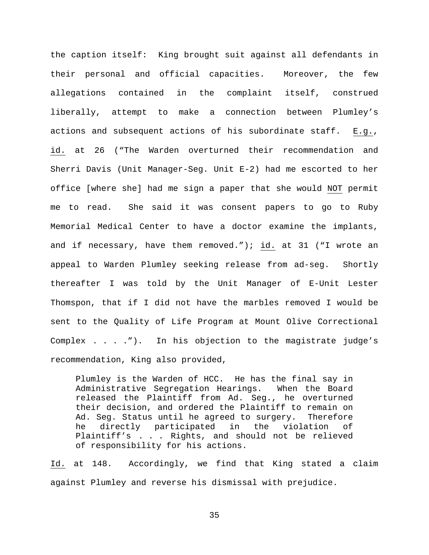the caption itself: King brought suit against all defendants in their personal and official capacities. Moreover, the few allegations contained in the complaint itself, construed liberally, attempt to make a connection between Plumley's actions and subsequent actions of his subordinate staff. E.g., id. at 26 ("The Warden overturned their recommendation and Sherri Davis (Unit Manager-Seg. Unit E-2) had me escorted to her office [where she] had me sign a paper that she would NOT permit me to read. She said it was consent papers to go to Ruby Memorial Medical Center to have a doctor examine the implants, and if necessary, have them removed."); id. at 31 ("I wrote an appeal to Warden Plumley seeking release from ad-seg. Shortly thereafter I was told by the Unit Manager of E-Unit Lester Thomspon, that if I did not have the marbles removed I would be sent to the Quality of Life Program at Mount Olive Correctional Complex . . . ."). In his objection to the magistrate judge's recommendation, King also provided,

Plumley is the Warden of HCC. He has the final say in Administrative Segregation Hearings. When the Board released the Plaintiff from Ad. Seg., he overturned their decision, and ordered the Plaintiff to remain on Ad. Seg. Status until he agreed to surgery. Therefore he directly participated in the violation of Plaintiff's . . . Rights, and should not be relieved of responsibility for his actions.

Id. at 148. Accordingly, we find that King stated a claim against Plumley and reverse his dismissal with prejudice.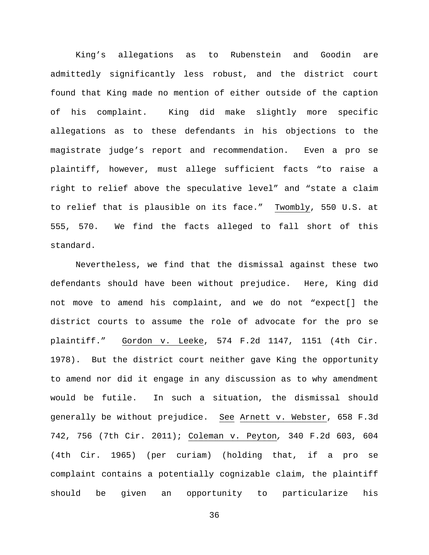King's allegations as to Rubenstein and Goodin are admittedly significantly less robust, and the district court found that King made no mention of either outside of the caption of his complaint. King did make slightly more specific allegations as to these defendants in his objections to the magistrate judge's report and recommendation. Even a pro se plaintiff, however, must allege sufficient facts "to raise a right to relief above the speculative level" and "state a claim to relief that is plausible on its face." Twombly, 550 U.S. at 555, 570. We find the facts alleged to fall short of this standard.

Nevertheless, we find that the dismissal against these two defendants should have been without prejudice. Here, King did not move to amend his complaint, and we do not "expect[] the district courts to assume the role of advocate for the pro se plaintiff." Gordon v. Leeke, 574 F.2d 1147, 1151 (4th Cir. 1978). But the district court neither gave King the opportunity to amend nor did it engage in any discussion as to why amendment would be futile. In such a situation, the dismissal should generally be without prejudice. See Arnett v. Webster, 658 F.3d 742, 756 (7th Cir. 2011); Coleman v. Peyton*,* 340 F.2d 603, 604 (4th Cir. 1965) (per curiam) (holding that, if a pro se complaint contains a potentially cognizable claim, the plaintiff should be given an opportunity to particularize his